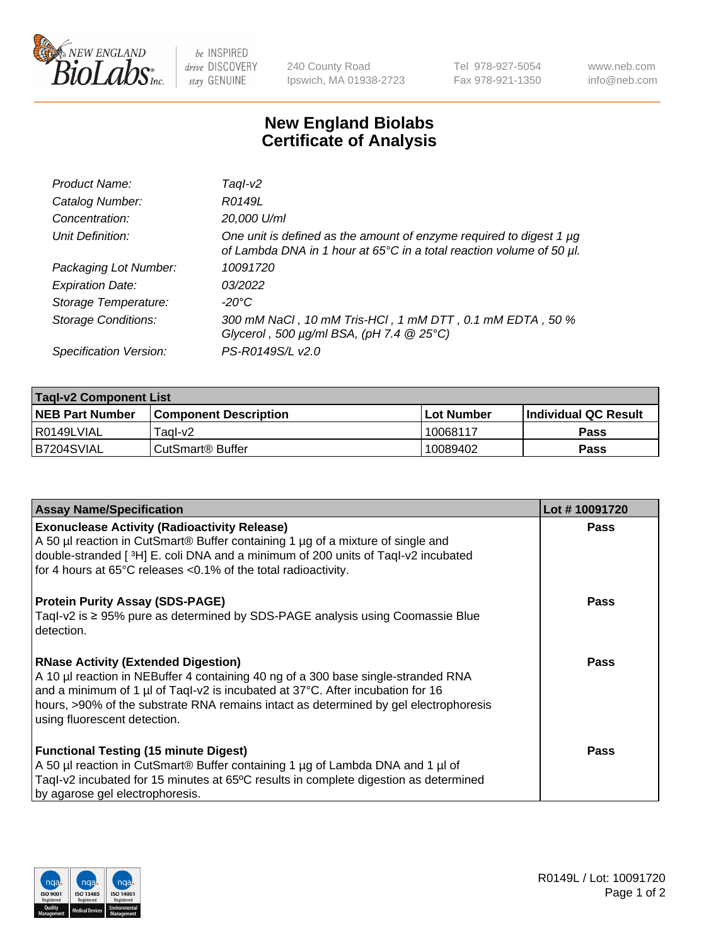

 $be$  INSPIRED drive DISCOVERY stay GENUINE

240 County Road Ipswich, MA 01938-2723 Tel 978-927-5054 Fax 978-921-1350 www.neb.com info@neb.com

## **New England Biolabs Certificate of Analysis**

| Product Name:              | Taql-v2                                                                                                                                                    |
|----------------------------|------------------------------------------------------------------------------------------------------------------------------------------------------------|
| Catalog Number:            | R0149L                                                                                                                                                     |
| Concentration:             | 20,000 U/ml                                                                                                                                                |
| Unit Definition:           | One unit is defined as the amount of enzyme required to digest 1 µg<br>of Lambda DNA in 1 hour at 65 $\degree$ C in a total reaction volume of 50 $\mu$ l. |
| Packaging Lot Number:      | 10091720                                                                                                                                                   |
| <b>Expiration Date:</b>    | 03/2022                                                                                                                                                    |
| Storage Temperature:       | -20°C                                                                                                                                                      |
| <b>Storage Conditions:</b> | 300 mM NaCl, 10 mM Tris-HCl, 1 mM DTT, 0.1 mM EDTA, 50 %<br>Glycerol, 500 $\mu$ g/ml BSA, (pH 7.4 $@$ 25°C)                                                |
| Specification Version:     | PS-R0149S/L v2.0                                                                                                                                           |

| <b>Tagl-v2 Component List</b> |                              |              |                             |  |  |
|-------------------------------|------------------------------|--------------|-----------------------------|--|--|
| <b>NEB Part Number</b>        | <b>Component Description</b> | l Lot Number | <b>Individual QC Result</b> |  |  |
| I R0149LVIAL                  | Taɑl-v2                      | 10068117     | <b>Pass</b>                 |  |  |
| B7204SVIAL                    | l CutSmart® Buffer           | 10089402     | Pass                        |  |  |

| <b>Assay Name/Specification</b>                                                                                                                                                                                                                                                                                                           | Lot #10091720 |
|-------------------------------------------------------------------------------------------------------------------------------------------------------------------------------------------------------------------------------------------------------------------------------------------------------------------------------------------|---------------|
| <b>Exonuclease Activity (Radioactivity Release)</b><br>A 50 µl reaction in CutSmart® Buffer containing 1 µg of a mixture of single and<br>double-stranded [3H] E. coli DNA and a minimum of 200 units of Taql-v2 incubated<br>for 4 hours at 65°C releases <0.1% of the total radioactivity.                                              | <b>Pass</b>   |
| <b>Protein Purity Assay (SDS-PAGE)</b>                                                                                                                                                                                                                                                                                                    | Pass          |
| Tagl-v2 is $\geq$ 95% pure as determined by SDS-PAGE analysis using Coomassie Blue<br>detection.                                                                                                                                                                                                                                          |               |
| <b>RNase Activity (Extended Digestion)</b><br>A 10 µl reaction in NEBuffer 4 containing 40 ng of a 300 base single-stranded RNA<br>and a minimum of 1 µl of Taql-v2 is incubated at 37°C. After incubation for 16<br>hours, >90% of the substrate RNA remains intact as determined by gel electrophoresis<br>using fluorescent detection. | <b>Pass</b>   |
| <b>Functional Testing (15 minute Digest)</b><br>A 50 µl reaction in CutSmart® Buffer containing 1 µg of Lambda DNA and 1 µl of<br>Tagl-v2 incubated for 15 minutes at 65°C results in complete digestion as determined<br>by agarose gel electrophoresis.                                                                                 | Pass          |